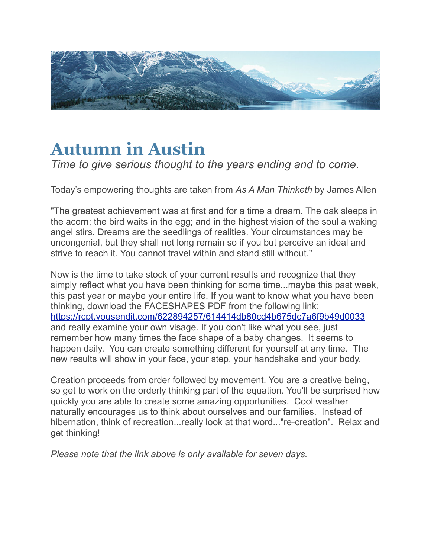

## **Autumn in Austin**

*Time to give serious thought to the years ending and to come.*

Today's empowering thoughts are taken from *As A Man Thinketh* by James Allen

"The greatest achievement was at first and for a time a dream. The oak sleeps in the acorn; the bird waits in the egg; and in the highest vision of the soul a waking angel stirs. Dreams are the seedlings of realities. Your circumstances may be uncongenial, but they shall not long remain so if you but perceive an ideal and strive to reach it. You cannot travel within and stand still without."

Now is the time to take stock of your current results and recognize that they simply reflect what you have been thinking for some time...maybe this past week, this past year or maybe your entire life. If you want to know what you have been thinking, download the FACESHAPES PDF from the following link: <https://rcpt.yousendit.com/622894257/614414db80cd4b675dc7a6f9b49d0033> and really examine your own visage. If you don't like what you see, just remember how many times the face shape of a baby changes. It seems to happen daily. You can create something different for yourself at any time. The new results will show in your face, your step, your handshake and your body.

Creation proceeds from order followed by movement. You are a creative being, so get to work on the orderly thinking part of the equation. You'll be surprised how quickly you are able to create some amazing opportunities. Cool weather naturally encourages us to think about ourselves and our families. Instead of hibernation, think of recreation...really look at that word..."re-creation". Relax and get thinking!

*Please note that the link above is only available for seven days.*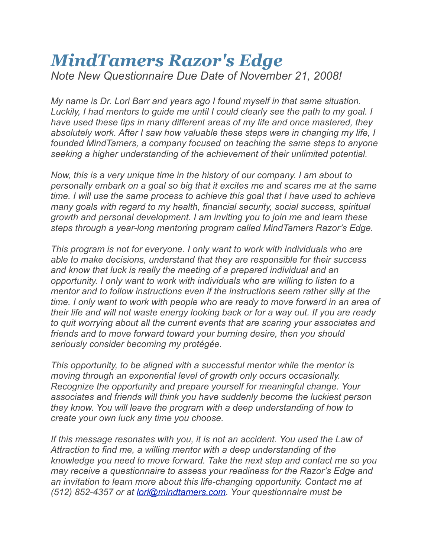## *MindTamers Razor's Edge Note New Questionnaire Due Date of November 21, 2008!*

*My name is Dr. Lori Barr and years ago I found myself in that same situation. Luckily, I had mentors to guide me until I could clearly see the path to my goal. I have used these tips in many different areas of my life and once mastered, they absolutely work. After I saw how valuable these steps were in changing my life, I founded MindTamers, a company focused on teaching the same steps to anyone seeking a higher understanding of the achievement of their unlimited potential.*

*Now, this is a very unique time in the history of our company. I am about to personally embark on a goal so big that it excites me and scares me at the same time. I will use the same process to achieve this goal that I have used to achieve many goals with regard to my health, financial security, social success, spiritual growth and personal development. I am inviting you to join me and learn these steps through a year-long mentoring program called MindTamers Razor's Edge.*

*This program is not for everyone. I only want to work with individuals who are able to make decisions, understand that they are responsible for their success and know that luck is really the meeting of a prepared individual and an opportunity. I only want to work with individuals who are willing to listen to a mentor and to follow instructions even if the instructions seem rather silly at the time. I only want to work with people who are ready to move forward in an area of their life and will not waste energy looking back or for a way out. If you are ready to quit worrying about all the current events that are scaring your associates and friends and to move forward toward your burning desire, then you should seriously consider becoming my protégée.*

*This opportunity, to be aligned with a successful mentor while the mentor is moving through an exponential level of growth only occurs occasionally. Recognize the opportunity and prepare yourself for meaningful change. Your associates and friends will think you have suddenly become the luckiest person they know. You will leave the program with a deep understanding of how to create your own luck any time you choose.*

*If this message resonates with you, it is not an accident. You used the Law of Attraction to find me, a willing mentor with a deep understanding of the knowledge you need to move forward. Take the next step and contact me so you may receive a questionnaire to assess your readiness for the Razor's Edge and an invitation to learn more about this life-changing opportunity. Contact me at (512) 852-4357 or at [lori@mindtamers.com.](mailto:lori@mindtamers.com) Your questionnaire must be*